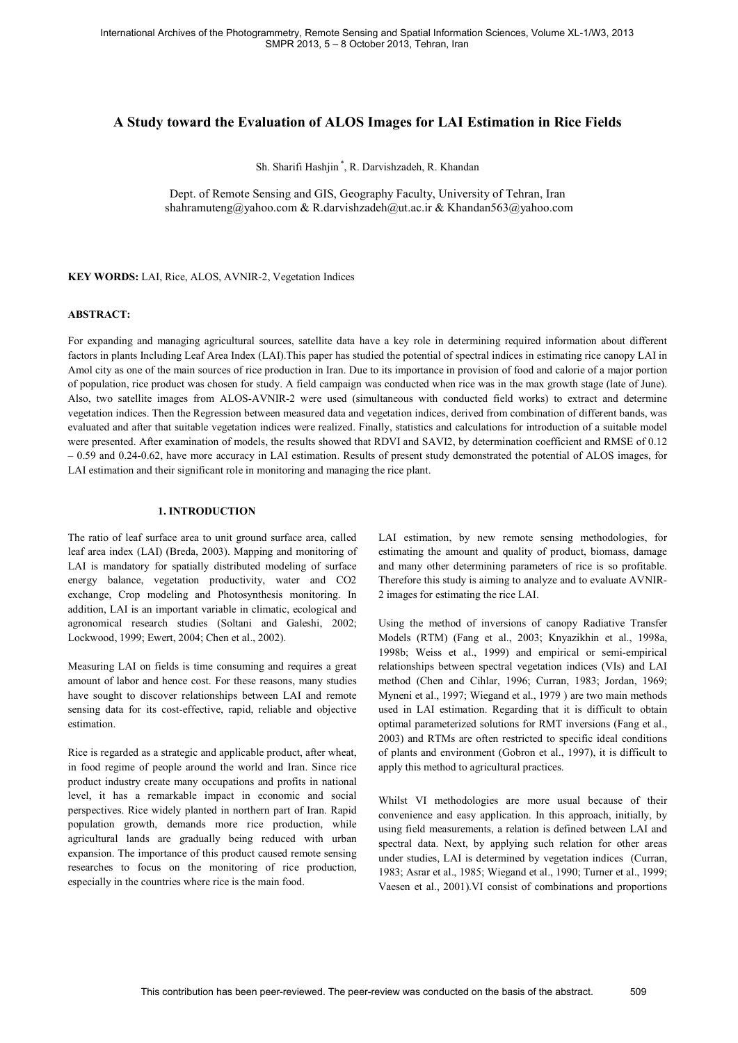# **A Study toward the Evaluation of ALOS Images for LAI Estimation in Rice Fields**

Sh. Sharifi Hashjin \*, R. Darvishzadeh, R. Khandan

Dept. of Remote Sensing and GIS, Geography Faculty, University of Tehran, Iran shahramuteng@yahoo.com & R.darvishzadeh@ut.ac.ir & Khandan563@yahoo.com

**KEY WORDS:** LAI, Rice, ALOS, AVNIR-2, Vegetation Indices

#### **ABSTRACT:**

For expanding and managing agricultural sources, satellite data have a key role in determining required information about different factors in plants Including Leaf Area Index (LAI).This paper has studied the potential of spectral indices in estimating rice canopy LAI in Amol city as one of the main sources of rice production in Iran. Due to its importance in provision of food and calorie of a major portion of population, rice product was chosen for study. A field campaign was conducted when rice was in the max growth stage (late of June). Also, two satellite images from ALOS-AVNIR-2 were used (simultaneous with conducted field works) to extract and determine vegetation indices. Then the Regression between measured data and vegetation indices, derived from combination of different bands, was evaluated and after that suitable vegetation indices were realized. Finally, statistics and calculations for introduction of a suitable model were presented. After examination of models, the results showed that RDVI and SAVI2, by determination coefficient and RMSE of 0.12 0.59 and 0.24 -0.62, have more accuracy in LAI estimation. Results of present study demonstrated the potential of ALOS images, for LAI estimation and their significant role in monitoring and managing the rice plant.

#### **1. INTRODUCTION**

The ratio of leaf surface area to unit ground surface area, called leaf area index (LAI) (Breda, 2003). Mapping and monitoring of LAI is mandatory for spatially distributed modeling of surface energy balance, vegetation productivity, water and CO2 exchange, Crop modeling and Photosynthesis monitoring. In addition, LAI is an important variable in climatic, ecological and agronomical research studies (Soltani and Galeshi, 2002; Lockwood, 1999; Ewert, 2004; Chen et al., 2002).

Measuring LAI on fields is time consuming and requires a great amount of labor and hence cost. For these reasons, many studies have sought to discover relationships between LAI and remote sensing data for its cost-effective, rapid, reliable and objective estimation.

Rice is regarded as a strategic and applicable product, after wheat, in food regime of people around the world and Iran. Since rice product industry create many occupations and profits in national level, it has a remarkable impact in economic and social perspectives. Rice widely planted in northern part of Iran. Rapid population growth, demands more rice production, while agricultural lands are gradually being reduced with urban expansion. The importance of this product caused remote sensing researches to focus on the monitoring of rice production, especially in the countries where rice is the main food.

LAI estimation, by new remote sensing methodologies, for estimating the amount and quality of product, biomass, damage and many other determining parameters of rice is so profitable. Therefore this study is aiming to analyze and to evaluate AVNIR-2 images for estimating the rice LAI.

Using the method of inversions of canopy Radiative Transfer Models (RTM) (Fang et al., 2003; Knyazikhin et al., 1998a, 1998b; Weiss et al., 1999) and empirical or semi-empirical relationships between spectral vegetation indices (VIs) and LAI method (Chen and Cihlar, 1996; Curran, 1983; Jordan, 1969; Myneni et al., 1997; Wiegand et al., 1979 ) are two main methods used in LAI estimation. Regarding that it is difficult to obtain optimal parameterized solutions for RMT inversions (Fang et al., 2003) and RTMs are often restricted to specific ideal conditions of plants and environment (Gobron et al., 1997), it is difficult to apply this method to agricultural practices.

Whilst VI methodologies are more usual because of their convenience and easy application. In this approach, initially, by using field measurements, a relation is defined between LAI and spectral data. Next, by applying such relation for other areas under studies, LAI is determined by vegetation indices (Curran, 1983; Asrar et al., 1985; Wiegand et al., 1990; Turner et al., 1999; Vaesen et al., 2001).VI consist of combinations and proportions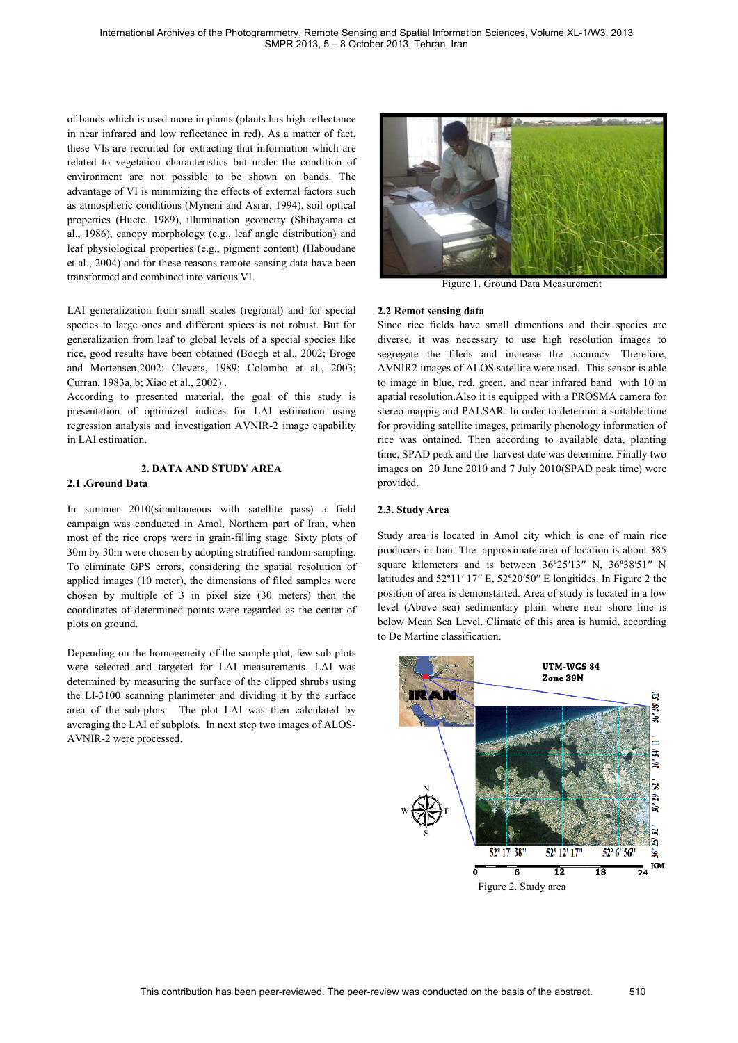of bands which is used more in plants (plants has high reflectance in near infrared and low reflectance in red). As a matter of fact, these VIs are recruited for extracting that information which are related to vegetation characteristics but under the condition of environment are not possible to be shown on bands. The advantage of VI is minimizing the effects of external factors such as atmospheric conditions (Myneni and Asrar, 1994), soil optical properties (Huete, 1989), illumination geometry (Shibayama et al., 1986), canopy morphology (e.g., leaf angle distribution) and leaf physiological properties (e.g., pigment content) (Haboudane et al., 2004) and for these reasons remote sensing data have been transformed and combined into various VI.

LAI generalization from small scales (regional) and for special species to large ones and different spices is not robust. But for generalization from leaf to global levels of a special species like rice, good results have been obtained (Boegh et al., 2002; Broge and Mortensen,2002; Clevers, 1989; Colombo et al., 2003; Curran, 1983a, b; Xiao et al., 2002).

According to presented material, the goal of this study is presentation of optimized indices for LAI estimation using regression analysis and investigation AVNIR-2 image capability in LAI estimation.

### **2. DATA AND STUDY AREA**

### **2.1 .Ground Data**

In summer 2010(simultaneous with satellite pass) a field campaign was conducted in Amol, Northern part of Iran, when most of the rice crops were in grain-filling stage. Sixty plots of 30m by 30m were chosen by adopting stratified random sampling. To eliminate GPS errors, considering the spatial resolution of applied images (10 meter), the dimensions of filed samples were chosen by multiple of 3 in pixel size (30 meters) then the coordinates of determined points were regarded as the center of plots on ground.

Depending on the homogeneity of the sample plot, few sub-plots were selected and targeted for LAI measurements. LAI was determined by measuring the surface of the clipped shrubs using the LI-3100 scanning planimeter and dividing it by the surface area of the sub-plots. The plot LAI was then calculated by averaging the LAI of subplots. In next step two images of ALOS-AVNIR-2 were processed.



Figure 1. Ground Data Measurement

## **2.2 Remot sensing data**

Since rice fields have small dimentions and their species are diverse, it was necessary to use high resolution images to segregate the fileds and increase the accuracy. Therefore, AVNIR2 images of ALOS satellite were used. This sensor is able to image in blue, red, green, and near infrared band with 10 m apatial resolution.Also it is equipped with a PROSMA camera for stereo mappig and PALSAR. In order to determin a suitable time for providing satellite images, primarily phenology information of rice was ontained. Then according to available data, planting time, SPAD peak and the harvest date was determine. Finally two images on 20 June 2010 and 7 July 2010(SPAD peak time) were provided.

### **2.3. Study Area**

Study area is located in Amol city which is one of main rice producers in Iran. The approximate area of location is about 385 square kilometers and is between  $36^{\circ}25'13''$  N,  $36^{\circ}38'51''$  N latitudes and  $52^{\circ}11'17''$  E,  $52^{\circ}20'50''$  E longitides. In Figure 2 the position of area is demonstarted. Area of study is located in a low level (Above sea) sedimentary plain where near shore line is below Mean Sea Level. Climate of this area is humid, according to De Martine classification.

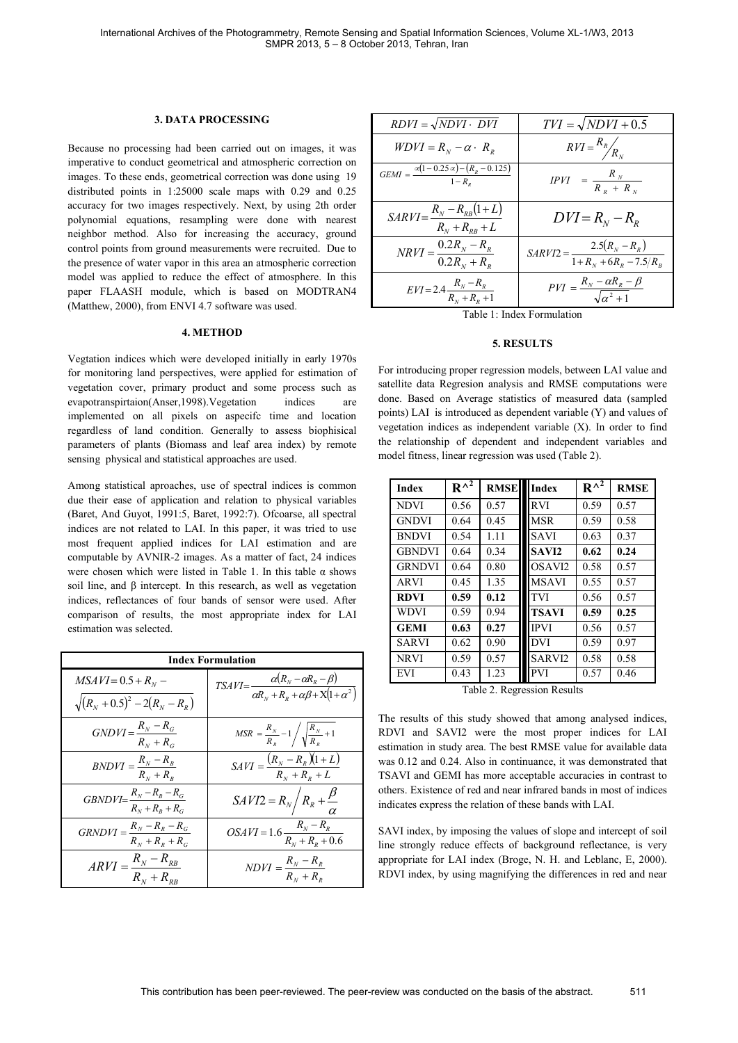### **3. DATA PROCESSING**

Because no processing had been carried out on images, it was imperative to conduct geometrical and atmospheric correction on images. To these ends, geometrical correction was done using 19 distributed points in 1:25000 scale maps with 0.29 and 0.25 accuracy for two images respectively. Next, by using 2th order polynomial equations, resampling were done with nearest neighbor method. Also for increasing the accuracy, ground control points from ground measurements were recruited. Due to the presence of water vapor in this area an atmospheric correction model was applied to reduce the effect of atmosphere. In this paper FLAASH module, which is based on MODTRAN4 (Matthew, 2000), from ENVI 4.7 software was used.

#### **4. METHOD**

Vegtation indices which were developed initially in early 1970s for monitoring land perspectives, were applied for estimation of vegetation cover, primary product and some process such as evapotranspirtaion(Anser,1998).Vegetation indices are implemented on all pixels on aspecifc time and location regardless of land condition. Generally to assess biophisical parameters of plants (Biomass and leaf area index) by remote sensing physical and statistical approaches are used.

Among statistical aproaches, use of spectral indices is common due their ease of application and relation to physical variables (Baret, And Guyot, 1991:5, Baret, 1992:7). Ofcoarse, all spectral indices are not related to LAI. In this paper, it was tried to use most frequent applied indices for LAI estimation and are computable by AVNIR-2 images. As a matter of fact, 24 indices were chosen which were listed in Table 1. In this table  $\alpha$  shows soil line, and  $\beta$  intercept. In this research, as well as vegetation indices, reflectances of four bands of sensor were used. After comparison of results, the most appropriate index for LAI estimation was selected.

| <b>Index Formulation</b>                                         |                                                                                                       |  |  |  |
|------------------------------------------------------------------|-------------------------------------------------------------------------------------------------------|--|--|--|
| $MSAVI = 0.5 + R_N -$<br>$\sqrt{(R_{N}+0.5)^{2}-2(R_{N}-R_{R})}$ | $TSAVI = \frac{\alpha (R_N - \alpha R_R - \beta)}{\alpha R_N + R_R + \alpha \beta + X(1 + \alpha^2)}$ |  |  |  |
| $GNDVI = \frac{R_N - R_G}{R_N + R_G}$                            | $MSR = \frac{R_N}{R_S} - 1 / \sqrt{\frac{R_N}{R_S}} + 1$                                              |  |  |  |
| $BNDVI = \frac{R_N - R_B}{R_N + R_B}$                            | $SAVI = \frac{(R_N - R_R)(1 + L)}{R_N + R_R + L}$                                                     |  |  |  |
| $GBNDVI = \frac{R_N - R_B - R_G}{R_N + R_B + R_G}$               | $SAVI2 = R_N/R_R + \frac{\beta}{\alpha}$                                                              |  |  |  |
| $GRNDVI = \frac{R_N - R_R - R_G}{R_N + R_R + R_G}$               | $OSAVI = 1.6 \frac{R_N - R_R}{R_N + R_R + 0.6}$                                                       |  |  |  |
| $ARVI = \frac{R_N - R_{RB}}{R_N + R_{BB}}$                       | $NDVI = \frac{R_N - R_R}{R_N + R_R}$                                                                  |  |  |  |

| $RDVI = \sqrt{NDVI \cdot DVI}$                                               | $TVI = \sqrt{NDVI + 0.5}$                                    |  |  |
|------------------------------------------------------------------------------|--------------------------------------------------------------|--|--|
| $WDVI = R_N - \alpha \cdot R_R$                                              | $RVI = \frac{R_R}{R_N}$                                      |  |  |
| $\overline{GEMI} = \frac{\alpha(1 - 0.25\,\alpha) - (R_R - 0.125)}{1 - R_n}$ | $IPVI = \frac{R_N}{R_R + R_N}$                               |  |  |
| $SARVI = \frac{R_N - R_{RB}(1 + L)}{R_N + R_{RB} + L}$                       | $DVI = R_{N} - R_{R}$                                        |  |  |
| $N R V I = \frac{0.2 R_{N} - R_{R}}{0.2 R_{N} + R_{R}}$                      | $SARVI2 = \frac{2.5(R_N - R_R)}{1 + R_N + 6R_R - 7.5/R_B}$   |  |  |
| $EVI = 2.4 \frac{R_N - R_R}{R_N + R_R + 1}$                                  | $PVI = \frac{R_N - \alpha R_R - \beta}{\sqrt{\alpha^2 + 1}}$ |  |  |

Table 1: Index Formulation

#### **5. RESULTS**

For introducing proper regression models, between LAI value and satellite data Regresion analysis and RMSE computations were done. Based on Average statistics of measured data (sampled points) LAI is introduced as dependent variable (Y) and values of vegetation indices as independent variable (X). In order to find the relationship of dependent and independent variables and model fitness, linear regression was used (Table 2).

| <b>Index</b>     | $R^{\wedge^2}$ | <b>RMSE</b> | Index              | $R^{\wedge^2}$ | <b>RMSE</b> |  |  |
|------------------|----------------|-------------|--------------------|----------------|-------------|--|--|
| <b>NDVI</b>      | 0.56           | 0.57        | <b>RVI</b>         | 0.59           | 0.57        |  |  |
| <b>GNDVI</b>     | 0.64           | 0.45        | <b>MSR</b>         | 0.59           | 0.58        |  |  |
| <b>BNDVI</b>     | 0.54           | 1.11        | <b>SAVI</b>        | 0.63           | 0.37        |  |  |
| <b>GBNDVI</b>    | 0.64           | 0.34        | SAVI2              | 0.62           | 0.24        |  |  |
| <b>GRNDVI</b>    | 0.64           | 0.80        | OSAVI2             | 0.58           | 0.57        |  |  |
| <b>ARVI</b>      | 0.45           | 1.35        | <b>MSAVI</b>       | 0.55           | 0.57        |  |  |
| <b>RDVI</b>      | 0.59           | 0.12        | <b>TVI</b>         | 0.56           | 0.57        |  |  |
| <b>WDVI</b>      | 0.59           | 0.94        | <b>TSAVI</b>       | 0.59           | 0.25        |  |  |
| <b>GEMI</b>      | 0.63           | 0.27        | <b>IPVI</b>        | 0.56           | 0.57        |  |  |
| <b>SARVI</b>     | 0.62           | 0.90        | <b>DVI</b>         | 0.59           | 0.97        |  |  |
| <b>NRVI</b>      | 0.59           | 0.57        | SARVI <sub>2</sub> | 0.58           | 0.58        |  |  |
| <b>EVI</b>       | 0.43           | 1.23        | <b>PVI</b>         | 0.57           | 0.46        |  |  |
| $T-11-2$ D D 14. |                |             |                    |                |             |  |  |

Table 2. Regression Results

The results of this study showed that among analysed indices, RDVI and SAVI2 were the most proper indices for LAI estimation in study area. The best RMSE value for available data was 0.12 and 0.24. Also in continuance, it was demonstrated that TSAVI and GEMI has more acceptable accuracies in contrast to others. Existence of red and near infrared bands in most of indices indicates express the relation of these bands with LAI.

SAVI index, by imposing the values of slope and intercept of soil line strongly reduce effects of background reflectance, is very appropriate for LAI index (Broge, N. H. and Leblanc, E, 2000). RDVI index, by using magnifying the differences in red and near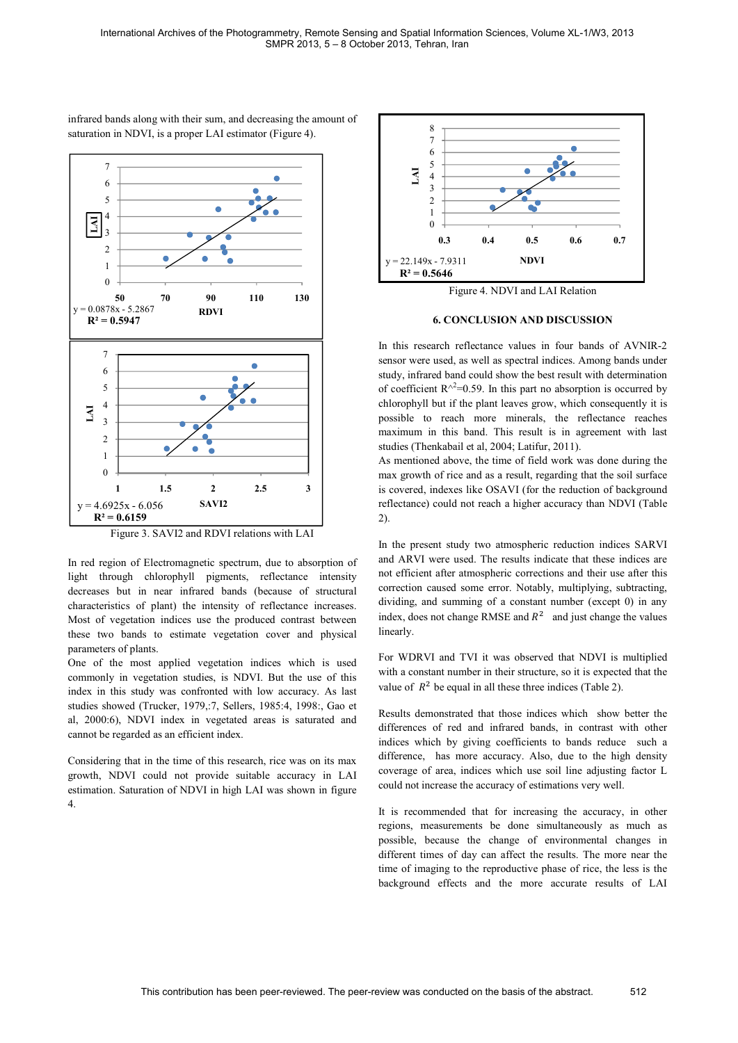infrared bands along with their sum, and decreasing the amount of saturation in NDVI, is a proper LAI estimator (Figure 4).



Figure 3. SAVI2 and RDVI relations with LAI

In red region of Electromagnetic spectrum, due to absorption of light through chlorophyll pigments, reflectance intensity decreases but in near infrared bands (because of structural characteristics of plant) the intensity of reflectance increases. Most of vegetation indices use the produced contrast between these two bands to estimate vegetation cover and physical parameters of plants.

One of the most applied vegetation indices which is used commonly in vegetation studies, is NDVI. But the use of this index in this study was confronted with low accuracy. As last studies showed (Trucker, 1979,:7, Sellers, 1985:4, 1998:, Gao et al, 2000:6), NDVI index in vegetated areas is saturated and cannot be regarded as an efficient index.

Considering that in the time of this research, rice was on its max growth, NDVI could not provide suitable accuracy in LAI estimation. Saturation of NDVI in high LAI was shown in figure 4.



Figure 4. NDVI and LAI Relation

#### **6. CONCLUSION AND DISCUSSION**

In this research reflectance values in four bands of AVNIR-2 sensor were used, as well as spectral indices. Among bands under study, infrared band could show the best result with determination of coefficient  $R^{\wedge 2}$ =0.59. In this part no absorption is occurred by chlorophyll but if the plant leaves grow, which consequently it is possible to reach more minerals, the reflectance reaches maximum in this band. This result is in agreement with last studies (Thenkabail et al, 2004; Latifur, 2011).

As mentioned above, the time of field work was done during the max growth of rice and as a result, regarding that the soil surface is covered, indexes like OSAVI (for the reduction of background reflectance) could not reach a higher accuracy than NDVI (Table 2).

In the present study two atmospheric reduction indices SARVI and ARVI were used. The results indicate that these indices are not efficient after atmospheric corrections and their use after this correction caused some error. Notably, multiplying, subtracting, dividing, and summing of a constant number (except 0) in any index, does not change RMSE and  $R^2$  and just change the values linearly.

For WDRVI and TVI it was observed that NDVI is multiplied with a constant number in their structure, so it is expected that the value of  $R^2$  be equal in all these three indices (Table 2).

Results demonstrated that those indices which show better the differences of red and infrared bands, in contrast with other indices which by giving coefficients to bands reduce such a difference, has more accuracy. Also, due to the high density coverage of area, indices which use soil line adjusting factor L could not increase the accuracy of estimations very well.

It is recommended that for increasing the accuracy, in other regions, measurements be done simultaneously as much as possible, because the change of environmental changes in different times of day can affect the results. The more near the time of imaging to the reproductive phase of rice, the less is the background effects and the more accurate results of LAI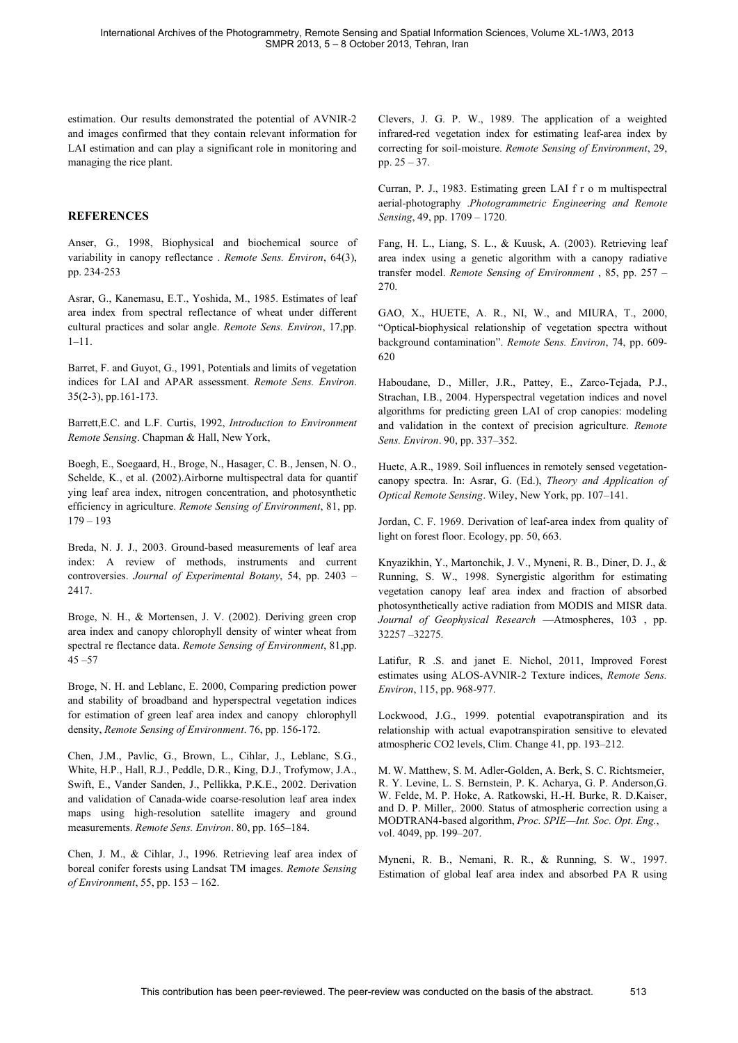estimation. Our results demonstrated the potential of AVNIR-2 and images confirmed that they contain relevant information for LAI estimation and can play a significant role in monitoring and managing the rice plant.

# **REFERENCES**

Anser, G., 1998, Biophysical and biochemical source of variability in canopy reflectance . *Remote Sens. Environ*, 64(3), pp. 234-253

Asrar, G., Kanemasu, E.T., Yoshida, M., 1985. Estimates of leaf area index from spectral reflectance of wheat under different cultural practices and solar angle. *Remote Sens. Environ*, 17,pp.  $1 - 11$ .

Barret, F. and Guyot, G., 1991, Potentials and limits of vegetation indices for LAI and APAR assessment. *Remote Sens. Environ*. 35(2-3), pp.161-173.

Barrett,E.C. and L.F. Curtis, 1992, *Introduction to Environment Remote Sensing*. Chapman & Hall, New York,

Boegh, E., Soegaard, H., Broge, N., Hasager, C. B., Jensen, N. O., Schelde, K., et al. (2002).Airborne multispectral data for quantif ying leaf area index, nitrogen concentration, and photosynthetic efficiency in agriculture. *Remote Sensing of Environment*, 81, pp.  $179 - 193$ 

Breda, N. J. J., 2003. Ground-based measurements of leaf area index: A review of methods, instruments and current controversies. *Journal of Experimental Botany*, 54, pp. 2403 2417.

Broge, N. H., & Mortensen, J. V. (2002). Deriving green crop area index and canopy chlorophyll density of winter wheat from spectral re flectance data. *Remote Sensing of Environment*, 81,pp.  $45 - 57$ 

Broge, N. H. and Leblanc, E. 2000, Comparing prediction power and stability of broadband and hyperspectral vegetation indices for estimation of green leaf area index and canopy chlorophyll density, *Remote Sensing of Environment*. 76, pp. 156-172.

Chen, J.M., Pavlic, G., Brown, L., Cihlar, J., Leblanc, S.G., White, H.P., Hall, R.J., Peddle, D.R., King, D.J., Trofymow, J.A., Swift, E., Vander Sanden, J., Pellikka, P.K.E., 2002. Derivation and validation of Canada-wide coarse-resolution leaf area index maps using high-resolution satellite imagery and ground measurements. *Remote Sens. Environ*. 80, pp. 165-184.

Chen, J. M., & Cihlar, J., 1996. Retrieving leaf area index of boreal conifer forests using Landsat TM images. *Remote Sensing of Environment*, 55, pp. 153 – 162.

Clevers, J. G. P. W., 1989. The application of a weighted infrared-red vegetation index for estimating leaf-area index by correcting for soil-moisture. *Remote Sensing of Environment*, 29, pp.  $25 - 37$ .

Curran, P. J., 1983. Estimating green LAI f r o m multispectral aerial-photography .*Photogrammetric Engineering and Remote Sensing*, 49, pp. 1709 - 1720.

Fang, H. L., Liang, S. L., & Kuusk, A. (2003). Retrieving leaf area index using a genetic algorithm with a canopy radiative transfer model. *Remote Sensing of Environment* , 85, pp. 257 270.

GAO, X., HUETE, A. R., NI, W., and MIURA, T., 2000, Optical-biophysical relationship of vegetation spectra without background contamination". *Remote Sens. Environ*, 74, pp. 609-620

Haboudane, D., Miller, J.R., Pattey, E., Zarco-Tejada, P.J., Strachan, I.B., 2004. Hyperspectral vegetation indices and novel algorithms for predicting green LAI of crop canopies: modeling and validation in the context of precision agriculture. *Remote Sens. Environ.* 90, pp. 337-352.

Huete, A.R., 1989. Soil influences in remotely sensed vegetationcanopy spectra. In: Asrar, G. (Ed.), *Theory and Application of Optical Remote Sensing.* Wiley, New York, pp. 107–141.

Jordan, C. F. 1969. Derivation of leaf-area index from quality of light on forest floor. Ecology, pp. 50, 663.

Knyazikhin, Y., Martonchik, J. V., Myneni, R. B., Diner, D. J., & Running, S. W., 1998. Synergistic algorithm for estimating vegetation canopy leaf area index and fraction of absorbed photosynthetically active radiation from MODIS and MISR data. Journal of Geophysical Research - Atmospheres, 103, pp. 32257 32275.

Latifur, R .S. and janet E. Nichol, 2011, Improved Forest estimates using ALOS-AVNIR-2 Texture indices, *Remote Sens. Environ*, 115, pp. 968-977.

Lockwood, J.G., 1999. potential evapotranspiration and its relationship with actual evapotranspiration sensitive to elevated atmospheric CO2 levels, Clim. Change 41, pp. 193-212.

M. W. Matthew, S. M. Adler-Golden, A. Berk, S. C. Richtsmeier, R. Y. Levine, L. S. Bernstein, P. K. Acharya, G. P. Anderson,G. W. Felde, M. P. Hoke, A. Ratkowski, H.-H. Burke, R. D.Kaiser, and D. P. Miller,. 2000. Status of atmospheric correction using a MODTRAN4-based algorithm, Proc. SPIE-Int. Soc. Opt. Eng., vol. 4049, pp. 199-207.

Myneni, R. B., Nemani, R. R., & Running, S. W., 1997. Estimation of global leaf area index and absorbed PA R using